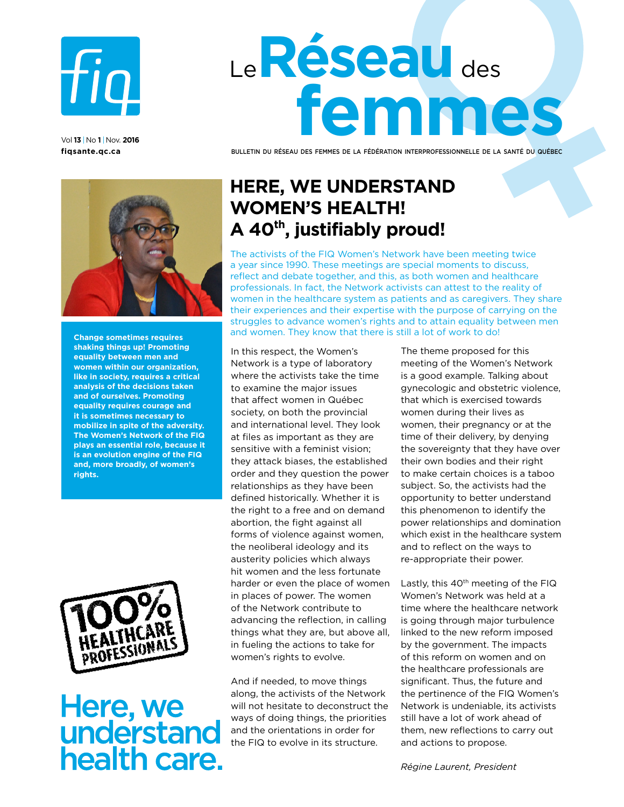

vol **13** |no **1** |Nov. **2016 [fiqsante.qc.ca](http://fiqsante.qc.ca)** 

# Le**Réseau** des **femmes**

Bulletin du Réseau des femmes de la fédération interprofessionnelle de la santé du québec



**Change sometimes requires shaking things up! Promoting equality between men and women within our organization, like in society, requires a critical analysis of the decisions taken and of ourselves. Promoting equality requires courage and it is sometimes necessary to mobilize in spite of the adversity. The Women's Network of the FIQ plays an essential role, because it is an evolution engine of the FIQ and, more broadly, of women's rights.**



## Here, we<br>understand health care.

## **Here, we understand women's health! A 40th, justifiably proud!**

The activists of the FIQ Women's Network have been meeting twice a year since 1990. These meetings are special moments to discuss, reflect and debate together, and this, as both women and healthcare professionals. In fact, the Network activists can attest to the reality of women in the healthcare system as patients and as caregivers. They share their experiences and their expertise with the purpose of carrying on the struggles to advance women's rights and to attain equality between men and women. They know that there is still a lot of work to do!

In this respect, the Women's Network is a type of laboratory where the activists take the time to examine the major issues that affect women in Québec society, on both the provincial and international level. They look at files as important as they are sensitive with a feminist vision; they attack biases, the established order and they question the power relationships as they have been defined historically. Whether it is the right to a free and on demand abortion, the fight against all forms of violence against women, the neoliberal ideology and its austerity policies which always hit women and the less fortunate harder or even the place of women in places of power. The women of the Network contribute to advancing the reflection, in calling things what they are, but above all, in fueling the actions to take for women's rights to evolve.

And if needed, to move things along, the activists of the Network will not hesitate to deconstruct the ways of doing things, the priorities and the orientations in order for the FIQ to evolve in its structure.

The theme proposed for this meeting of the Women's Network is a good example. Talking about gynecologic and obstetric violence, that which is exercised towards women during their lives as women, their pregnancy or at the time of their delivery, by denying the sovereignty that they have over their own bodies and their right to make certain choices is a taboo subject. So, the activists had the opportunity to better understand this phenomenon to identify the power relationships and domination which exist in the healthcare system and to reflect on the ways to re-appropriate their power.

Lastly, this  $40<sup>th</sup>$  meeting of the FIQ Women's Network was held at a time where the healthcare network is going through major turbulence linked to the new reform imposed by the government. The impacts of this reform on women and on the healthcare professionals are significant. Thus, the future and the pertinence of the FIQ Women's Network is undeniable, its activists still have a lot of work ahead of them, new reflections to carry out and actions to propose.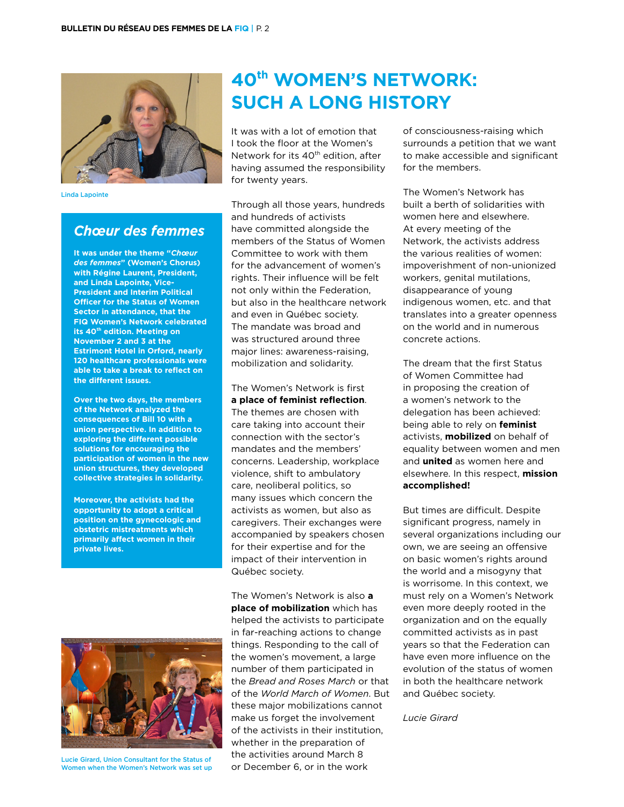

Linda Lapointe

### *Chœur des femmes*

**It was under the theme "***Chœur des femmes***" (Women's Chorus) with Régine Laurent, President, and Linda Lapointe, Vice-President and Interim Political Officer for the Status of Women Sector in attendance, that the FIQ Women's Network celebrated its 40th edition. Meeting on November 2 and 3 at the Estrimont Hotel in Orford, nearly 120 healthcare professionals were able to take a break to reflect on the different issues.** 

**Over the two days, the members of the Network analyzed the consequences of Bill 10 with a union perspective. In addition to exploring the different possible solutions for encouraging the participation of women in the new union structures, they developed collective strategies in solidarity.** 

**Moreover, the activists had the opportunity to adopt a critical position on the gynecologic and obstetric mistreatments which primarily affect women in their private lives.**

## **40th Women's Network: Such a long history**

It was with a lot of emotion that I took the floor at the Women's Network for its 40<sup>th</sup> edition, after having assumed the responsibility for twenty years.

Through all those years, hundreds and hundreds of activists have committed alongside the members of the Status of Women Committee to work with them for the advancement of women's rights. Their influence will be felt not only within the Federation, but also in the healthcare network and even in Québec society. The mandate was broad and was structured around three major lines: awareness-raising, mobilization and solidarity.

The Women's Network is first **a place of feminist reflection**. The themes are chosen with care taking into account their connection with the sector's mandates and the members' concerns. Leadership, workplace violence, shift to ambulatory care, neoliberal politics, so many issues which concern the activists as women, but also as caregivers. Their exchanges were accompanied by speakers chosen for their expertise and for the impact of their intervention in Québec society.



Lucie Girard, Union Consultant for the Status of Women when the Women's Network was set up

The Women's Network is also **a place of mobilization** which has helped the activists to participate in far-reaching actions to change things. Responding to the call of the women's movement, a large number of them participated in the *Bread and Roses March* or that of the *World March of Women*. But these major mobilizations cannot make us forget the involvement of the activists in their institution, whether in the preparation of the activities around March 8 or December 6, or in the work

of consciousness-raising which surrounds a petition that we want to make accessible and significant for the members.

The Women's Network has built a berth of solidarities with women here and elsewhere. At every meeting of the Network, the activists address the various realities of women: impoverishment of non-unionized workers, genital mutilations, disappearance of young indigenous women, etc. and that translates into a greater openness on the world and in numerous concrete actions.

The dream that the first Status of Women Committee had in proposing the creation of a women's network to the delegation has been achieved: being able to rely on **feminist**  activists, **mobilized** on behalf of equality between women and men and **united** as women here and elsewhere. In this respect, **mission accomplished!**

But times are difficult. Despite significant progress, namely in several organizations including our own, we are seeing an offensive on basic women's rights around the world and a misogyny that is worrisome. In this context, we must rely on a Women's Network even more deeply rooted in the organization and on the equally committed activists as in past years so that the Federation can have even more influence on the evolution of the status of women in both the healthcare network and Québec society.

*Lucie Girard*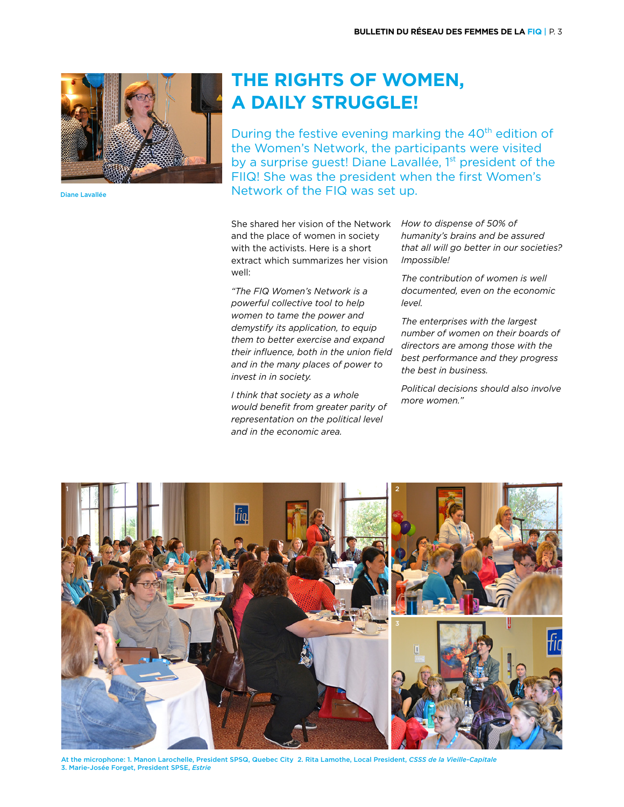

Diane Lavallée

## **The rights of women, a daily struggle!**

During the festive evening marking the  $40<sup>th</sup>$  edition of the Women's Network, the participants were visited by a surprise guest! Diane Lavallée, 1<sup>st</sup> president of the FIIQ! She was the president when the first Women's Network of the FIQ was set up.

She shared her vision of the Network *How to dispense of 50% of*  and the place of women in society with the activists. Here is a short extract which summarizes her vision well:

*"The FIQ Women's Network is a powerful collective tool to help women to tame the power and demystify its application, to equip them to better exercise and expand their influence, both in the union field and in the many places of power to invest in in society.*

*I think that society as a whole would benefit from greater parity of representation on the political level and in the economic area.*

*humanity's brains and be assured that all will go better in our societies? Impossible!*

*The contribution of women is well documented, even on the economic level.*

*The enterprises with the largest number of women on their boards of directors are among those with the best performance and they progress the best in business.* 

*Political decisions should also involve more women."*



At the microphone: 1. Manon Larochelle, President SPSQ, Quebec City 2. Rita Lamothe, Local President, *CSSS de la Vieille-Capitale*  3. Marie-Josée Forget, President SPSE, *Estrie*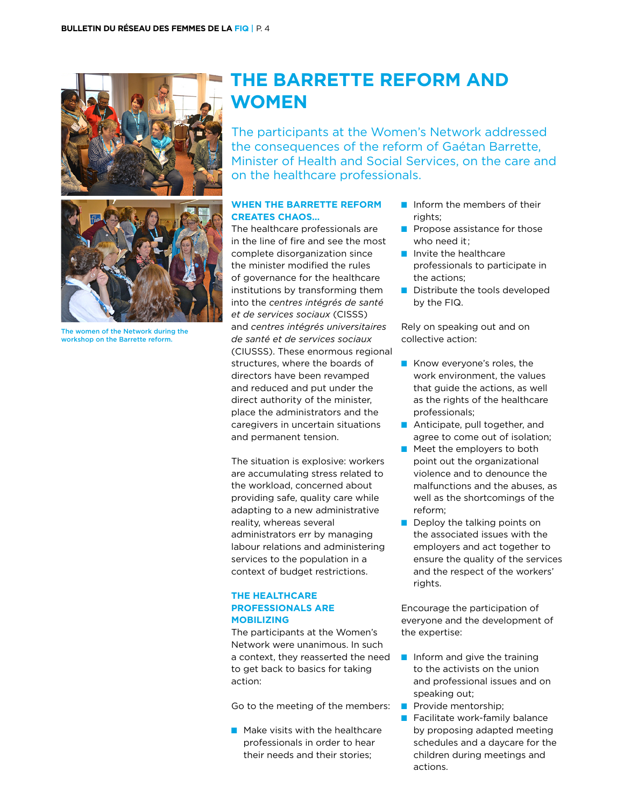

The women of the Network during the workshop on the Barrette reform.

## **The Barrette reform and women**

The participants at the Women's Network addressed the consequences of the reform of Gaétan Barrette, Minister of Health and Social Services, on the care and on the healthcare professionals.

#### **WHEN THE BARRETTE REFORM CREATES CHAOS…**

The healthcare professionals are in the line of fire and see the most complete disorganization since the minister modified the rules of governance for the healthcare institutions by transforming them into the *centres intégrés de santé et de services sociaux* (CISSS) and *centres intégrés universitaires de santé et de services sociaux*  (CIUSSS). These enormous regional structures, where the boards of directors have been revamped and reduced and put under the direct authority of the minister, place the administrators and the caregivers in uncertain situations and permanent tension.

The situation is explosive: workers are accumulating stress related to the workload, concerned about providing safe, quality care while adapting to a new administrative reality, whereas several administrators err by managing labour relations and administering services to the population in a context of budget restrictions.

#### **THE HEALTHCARE PROFESSIONALS ARE MOBILIZING**

The participants at the Women's Network were unanimous. In such a context, they reasserted the need to get back to basics for taking action:

Go to the meeting of the members:

 $\blacksquare$  Make visits with the healthcare professionals in order to hear their needs and their stories;

- $\blacksquare$  Inform the members of their rights;
- $\blacksquare$  Propose assistance for those who need it:
- $\blacksquare$  Invite the healthcare professionals to participate in the actions;
- $\blacksquare$  Distribute the tools developed by the FIQ.

Rely on speaking out and on collective action:

- $\blacksquare$  Know everyone's roles, the work environment, the values that guide the actions, as well as the rights of the healthcare professionals;
- **n** Anticipate, pull together, and agree to come out of isolation;
- $\blacksquare$  Meet the employers to both point out the organizational violence and to denounce the malfunctions and the abuses, as well as the shortcomings of the reform;
- $\blacksquare$  Deploy the talking points on the associated issues with the employers and act together to ensure the quality of the services and the respect of the workers' rights.

Encourage the participation of everyone and the development of the expertise:

- $\blacksquare$  Inform and give the training to the activists on the union and professional issues and on speaking out;
- **n** Provide mentorship;
- $\blacksquare$  Facilitate work-family balance by proposing adapted meeting schedules and a daycare for the children during meetings and actions.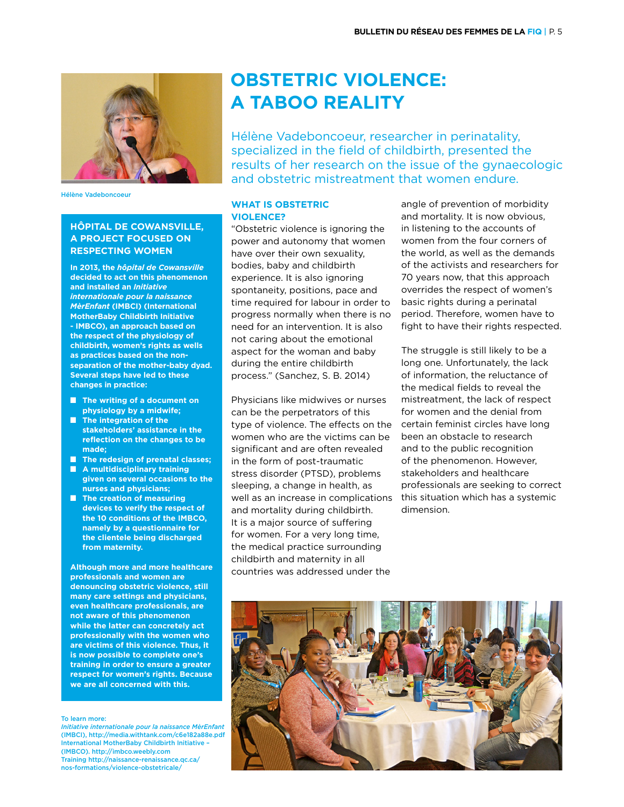

Hélène Vadeboncoeur

#### **HÔPITAL DE COWANSVILLE, A PROJECT FOCUSED ON RESPECTING WOMEN**

**In 2013, the** *hôpital de Cowansville* **decided to act on this phenomenon and installed an** *Initiative internationale pour la naissance MèrEnfant* **(IMBCI) (International MotherBaby Childbirth Initiative - IMBCO), an approach based on the respect of the physiology of childbirth, women's rights as wells as practices based on the nonseparation of the mother-baby dyad. Several steps have led to these changes in practice:**

- **■** The writing of a document on **physiology by a midwife;**
- **n** The integration of the **stakeholders' assistance in the reflection on the changes to be made;**
- **n** The redesign of prenatal classes;
- A multidisciplinary training **given on several occasions to the nurses and physicians;**
- **n** The creation of measuring **devices to verify the respect of the 10 conditions of the IMBCO, namely by a questionnaire for the clientele being discharged from maternity.**

**Although more and more healthcare professionals and women are denouncing obstetric violence, still many care settings and physicians, even healthcare professionals, are not aware of this phenomenon while the latter can concretely act professionally with the women who are victims of this violence. Thus, it is now possible to complete one's training in order to ensure a greater respect for women's rights. Because we are all concerned with this.**

To learn more:

*Initiative internationale pour la naissance MèrEnfant*  (IMBCI), http://media.withtank.com/c6e182a88e.pdf International MotherBaby Childbirth Initiative – (IMBCO). http://imbco.weebly.com Training http://naissance-renaissance.qc.ca/ nos-formations/violence-obstetricale/

## **OBSTETRIC VIOLENCE: A TABOO REALITY**

Hélène Vadeboncoeur, researcher in perinatality, specialized in the field of childbirth, presented the results of her research on the issue of the gynaecologic and obstetric mistreatment that women endure.

#### **What is obstetric violence?**

"Obstetric violence is ignoring the power and autonomy that women have over their own sexuality, bodies, baby and childbirth experience. It is also ignoring spontaneity, positions, pace and time required for labour in order to progress normally when there is no need for an intervention. It is also not caring about the emotional aspect for the woman and baby during the entire childbirth process." (Sanchez, S. B. 2014)

Physicians like midwives or nurses can be the perpetrators of this type of violence. The effects on the women who are the victims can be significant and are often revealed in the form of post-traumatic stress disorder (PTSD), problems sleeping, a change in health, as well as an increase in complications and mortality during childbirth. It is a major source of suffering for women. For a very long time, the medical practice surrounding childbirth and maternity in all countries was addressed under the

angle of prevention of morbidity and mortality. It is now obvious, in listening to the accounts of women from the four corners of the world, as well as the demands of the activists and researchers for 70 years now, that this approach overrides the respect of women's basic rights during a perinatal period. Therefore, women have to fight to have their rights respected.

The struggle is still likely to be a long one. Unfortunately, the lack of information, the reluctance of the medical fields to reveal the mistreatment, the lack of respect for women and the denial from certain feminist circles have long been an obstacle to research and to the public recognition of the phenomenon. However, stakeholders and healthcare professionals are seeking to correct this situation which has a systemic dimension.